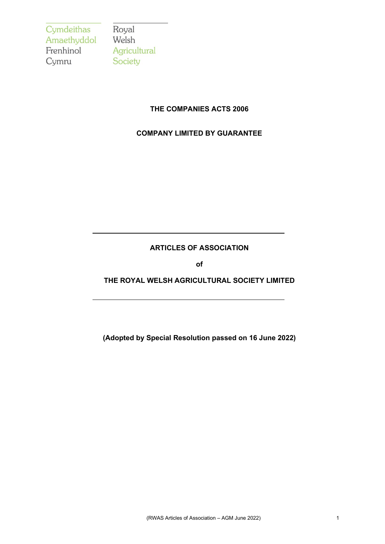Cymdeithas Royal<br>Amaethyddol Welsh Frenhinol Cymru

Agricultural Society

# **THE COMPANIES ACTS 2006**

# **COMPANY LIMITED BY GUARANTEE**

# **ARTICLES OF ASSOCIATION**

**of**

# **THE ROYAL WELSH AGRICULTURAL SOCIETY LIMITED**

**(Adopted by Special Resolution passed on 16 June 2022)**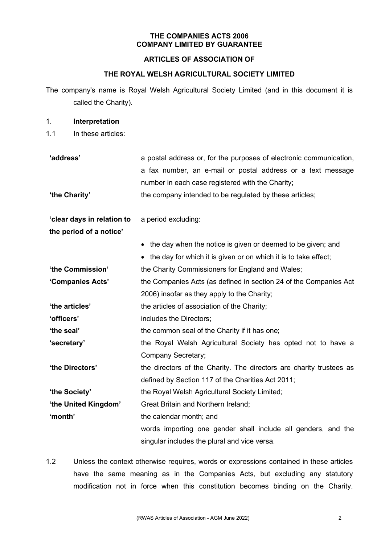### **THE COMPANIES ACTS 2006 COMPANY LIMITED BY GUARANTEE**

## **ARTICLES OF ASSOCIATION OF**

### **THE ROYAL WELSH AGRICULTURAL SOCIETY LIMITED**

The company's name is Royal Welsh Agricultural Society Limited (and in this document it is called the Charity).

#### 1. **Interpretation**

1.1 In these articles:

| 'address'<br>'the Charity' | a postal address or, for the purposes of electronic communication,<br>a fax number, an e-mail or postal address or a text message<br>number in each case registered with the Charity;<br>the company intended to be regulated by these articles; |
|----------------------------|--------------------------------------------------------------------------------------------------------------------------------------------------------------------------------------------------------------------------------------------------|
| 'clear days in relation to | a period excluding:                                                                                                                                                                                                                              |
| the period of a notice'    |                                                                                                                                                                                                                                                  |
|                            | • the day when the notice is given or deemed to be given; and                                                                                                                                                                                    |
|                            | • the day for which it is given or on which it is to take effect;                                                                                                                                                                                |
| 'the Commission'           | the Charity Commissioners for England and Wales;                                                                                                                                                                                                 |
| 'Companies Acts'           | the Companies Acts (as defined in section 24 of the Companies Act                                                                                                                                                                                |
|                            | 2006) insofar as they apply to the Charity;                                                                                                                                                                                                      |
| 'the articles'             | the articles of association of the Charity;                                                                                                                                                                                                      |
| 'officers'                 | includes the Directors;                                                                                                                                                                                                                          |
| 'the seal'                 | the common seal of the Charity if it has one;                                                                                                                                                                                                    |
| 'secretary'                | the Royal Welsh Agricultural Society has opted not to have a                                                                                                                                                                                     |
|                            | Company Secretary;                                                                                                                                                                                                                               |
| 'the Directors'            | the directors of the Charity. The directors are charity trustees as                                                                                                                                                                              |
|                            | defined by Section 117 of the Charities Act 2011;                                                                                                                                                                                                |
| 'the Society'              | the Royal Welsh Agricultural Society Limited;                                                                                                                                                                                                    |
| 'the United Kingdom'       | Great Britain and Northern Ireland;                                                                                                                                                                                                              |
| 'month'                    | the calendar month; and                                                                                                                                                                                                                          |
|                            | words importing one gender shall include all genders, and the                                                                                                                                                                                    |
|                            | singular includes the plural and vice versa.                                                                                                                                                                                                     |

1.2 Unless the context otherwise requires, words or expressions contained in these articles have the same meaning as in the Companies Acts, but excluding any statutory modification not in force when this constitution becomes binding on the Charity.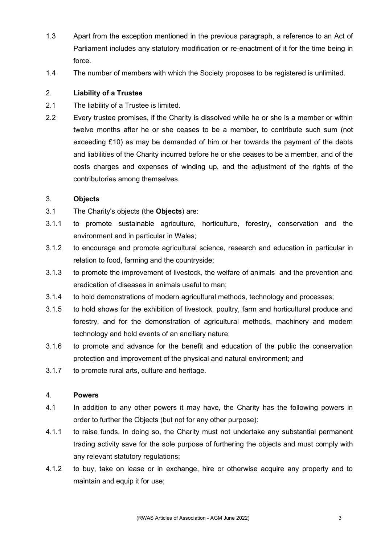- 1.3 Apart from the exception mentioned in the previous paragraph, a reference to an Act of Parliament includes any statutory modification or re-enactment of it for the time being in force.
- 1.4 The number of members with which the Society proposes to be registered is unlimited.

# 2. **Liability of a Trustee**

- 2.1 The liability of a Trustee is limited.
- 2.2 Every trustee promises, if the Charity is dissolved while he or she is a member or within twelve months after he or she ceases to be a member, to contribute such sum (not exceeding £10) as may be demanded of him or her towards the payment of the debts and liabilities of the Charity incurred before he or she ceases to be a member, and of the costs charges and expenses of winding up, and the adjustment of the rights of the contributories among themselves.

## 3. **Objects**

- 3.1 The Charity's objects (the **Objects**) are:
- 3.1.1 to promote sustainable agriculture, horticulture, forestry, conservation and the environment and in particular in Wales;
- 3.1.2 to encourage and promote agricultural science, research and education in particular in relation to food, farming and the countryside;
- 3.1.3 to promote the improvement of livestock, the welfare of animals and the prevention and eradication of diseases in animals useful to man;
- 3.1.4 to hold demonstrations of modern agricultural methods, technology and processes;
- 3.1.5 to hold shows for the exhibition of livestock, poultry, farm and horticultural produce and forestry, and for the demonstration of agricultural methods, machinery and modern technology and hold events of an ancillary nature;
- 3.1.6 to promote and advance for the benefit and education of the public the conservation protection and improvement of the physical and natural environment; and
- 3.1.7 to promote rural arts, culture and heritage.

## 4. **Powers**

- 4.1 In addition to any other powers it may have, the Charity has the following powers in order to further the Objects (but not for any other purpose):
- 4.1.1 to raise funds. In doing so, the Charity must not undertake any substantial permanent trading activity save for the sole purpose of furthering the objects and must comply with any relevant statutory regulations;
- 4.1.2 to buy, take on lease or in exchange, hire or otherwise acquire any property and to maintain and equip it for use;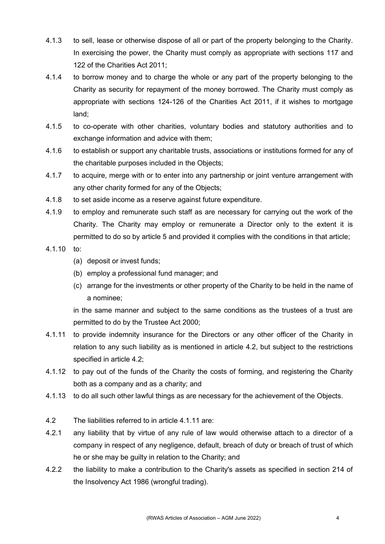- 4.1.3 to sell, lease or otherwise dispose of all or part of the property belonging to the Charity. In exercising the power, the Charity must comply as appropriate with sections 117 and 122 of the Charities Act 2011;
- 4.1.4 to borrow money and to charge the whole or any part of the property belonging to the Charity as security for repayment of the money borrowed. The Charity must comply as appropriate with sections 124-126 of the Charities Act 2011, if it wishes to mortgage land;
- 4.1.5 to co-operate with other charities, voluntary bodies and statutory authorities and to exchange information and advice with them;
- 4.1.6 to establish or support any charitable trusts, associations or institutions formed for any of the charitable purposes included in the Objects;
- 4.1.7 to acquire, merge with or to enter into any partnership or joint venture arrangement with any other charity formed for any of the Objects;
- 4.1.8 to set aside income as a reserve against future expenditure.
- 4.1.9 to employ and remunerate such staff as are necessary for carrying out the work of the Charity. The Charity may employ or remunerate a Director only to the extent it is permitted to do so by article 5 and provided it complies with the conditions in that article;
- 4.1.10 to:
	- (a) deposit or invest funds;
	- (b) employ a professional fund manager; and
	- (c) arrange for the investments or other property of the Charity to be held in the name of a nominee;

in the same manner and subject to the same conditions as the trustees of a trust are permitted to do by the Trustee Act 2000;

- 4.1.11 to provide indemnity insurance for the Directors or any other officer of the Charity in relation to any such liability as is mentioned in article 4.2, but subject to the restrictions specified in article 4.2;
- 4.1.12 to pay out of the funds of the Charity the costs of forming, and registering the Charity both as a company and as a charity; and
- 4.1.13 to do all such other lawful things as are necessary for the achievement of the Objects.
- 4.2 The liabilities referred to in article 4.1.11 are:
- 4.2.1 any liability that by virtue of any rule of law would otherwise attach to a director of a company in respect of any negligence, default, breach of duty or breach of trust of which he or she may be guilty in relation to the Charity; and
- 4.2.2 the liability to make a contribution to the Charity's assets as specified in section 214 of the Insolvency Act 1986 (wrongful trading).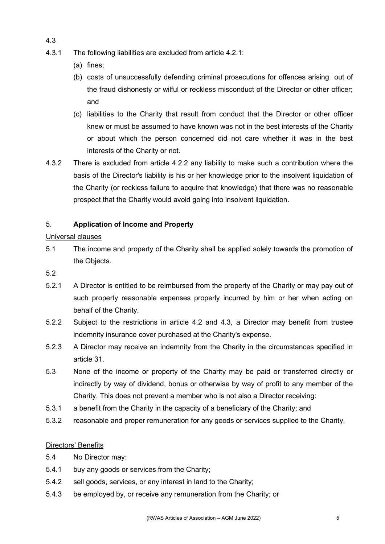- 4.3.1 The following liabilities are excluded from article 4.2.1:
	- (a) fines;

4.3

- (b) costs of unsuccessfully defending criminal prosecutions for offences arising out of the fraud dishonesty or wilful or reckless misconduct of the Director or other officer; and
- (c) liabilities to the Charity that result from conduct that the Director or other officer knew or must be assumed to have known was not in the best interests of the Charity or about which the person concerned did not care whether it was in the best interests of the Charity or not.
- 4.3.2 There is excluded from article 4.2.2 any liability to make such a contribution where the basis of the Director's liability is his or her knowledge prior to the insolvent liquidation of the Charity (or reckless failure to acquire that knowledge) that there was no reasonable prospect that the Charity would avoid going into insolvent liquidation.

# 5. **Application of Income and Property**

# Universal clauses

- 5.1 The income and property of the Charity shall be applied solely towards the promotion of the Objects.
- 5.2
- 5.2.1 A Director is entitled to be reimbursed from the property of the Charity or may pay out of such property reasonable expenses properly incurred by him or her when acting on behalf of the Charity.
- 5.2.2 Subject to the restrictions in article 4.2 and 4.3, a Director may benefit from trustee indemnity insurance cover purchased at the Charity's expense.
- 5.2.3 A Director may receive an indemnity from the Charity in the circumstances specified in article 31.
- 5.3 None of the income or property of the Charity may be paid or transferred directly or indirectly by way of dividend, bonus or otherwise by way of profit to any member of the Charity. This does not prevent a member who is not also a Director receiving:
- 5.3.1 a benefit from the Charity in the capacity of a beneficiary of the Charity; and
- 5.3.2 reasonable and proper remuneration for any goods or services supplied to the Charity.

# Directors' Benefits

- 5.4 No Director may:
- 5.4.1 buy any goods or services from the Charity;
- 5.4.2 sell goods, services, or any interest in land to the Charity;
- 5.4.3 be employed by, or receive any remuneration from the Charity; or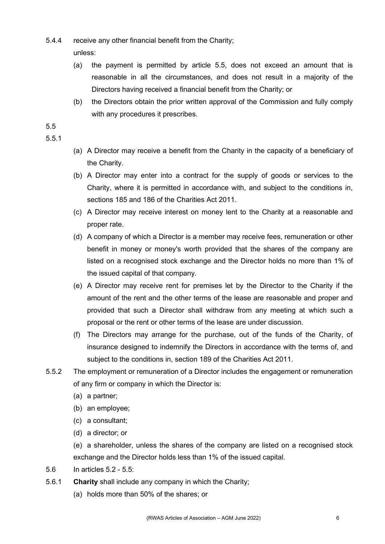- 5.4.4 receive any other financial benefit from the Charity;
	- unless:
	- (a) the payment is permitted by article 5.5, does not exceed an amount that is reasonable in all the circumstances, and does not result in a majority of the Directors having received a financial benefit from the Charity; or
	- (b) the Directors obtain the prior written approval of the Commission and fully comply with any procedures it prescribes.

# 5.5

# 5.5.1

- (a) A Director may receive a benefit from the Charity in the capacity of a beneficiary of the Charity.
- (b) A Director may enter into a contract for the supply of goods or services to the Charity, where it is permitted in accordance with, and subject to the conditions in, sections 185 and 186 of the Charities Act 2011.
- (c) A Director may receive interest on money lent to the Charity at a reasonable and proper rate.
- (d) A company of which a Director is a member may receive fees, remuneration or other benefit in money or money's worth provided that the shares of the company are listed on a recognised stock exchange and the Director holds no more than 1% of the issued capital of that company.
- (e) A Director may receive rent for premises let by the Director to the Charity if the amount of the rent and the other terms of the lease are reasonable and proper and provided that such a Director shall withdraw from any meeting at which such a proposal or the rent or other terms of the lease are under discussion.
- (f) The Directors may arrange for the purchase, out of the funds of the Charity, of insurance designed to indemnify the Directors in accordance with the terms of, and subject to the conditions in, section 189 of the Charities Act 2011.
- 5.5.2 The employment or remuneration of a Director includes the engagement or remuneration of any firm or company in which the Director is:
	- (a) a partner;
	- (b) an employee;
	- (c) a consultant;
	- (d) a director; or

(e) a shareholder, unless the shares of the company are listed on a recognised stock exchange and the Director holds less than 1% of the issued capital.

- 5.6 In articles 5.2 5.5:
- 5.6.1 **Charity** shall include any company in which the Charity;
	- (a) holds more than 50% of the shares; or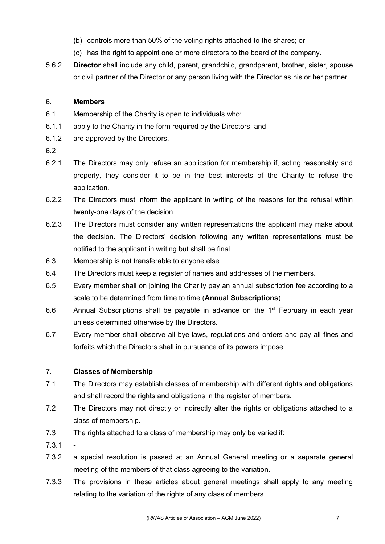- (b) controls more than 50% of the voting rights attached to the shares; or
- (c) has the right to appoint one or more directors to the board of the company.
- 5.6.2 **Director** shall include any child, parent, grandchild, grandparent, brother, sister, spouse or civil partner of the Director or any person living with the Director as his or her partner.

# 6. **Members**

- 6.1 Membership of the Charity is open to individuals who:
- 6.1.1 apply to the Charity in the form required by the Directors; and
- 6.1.2 are approved by the Directors.
- 6.2
- 6.2.1 The Directors may only refuse an application for membership if, acting reasonably and properly, they consider it to be in the best interests of the Charity to refuse the application.
- 6.2.2 The Directors must inform the applicant in writing of the reasons for the refusal within twenty-one days of the decision.
- 6.2.3 The Directors must consider any written representations the applicant may make about the decision. The Directors' decision following any written representations must be notified to the applicant in writing but shall be final.
- 6.3 Membership is not transferable to anyone else.
- 6.4 The Directors must keep a register of names and addresses of the members.
- 6.5 Every member shall on joining the Charity pay an annual subscription fee according to a scale to be determined from time to time (**Annual Subscriptions**).
- 6.6 Annual Subscriptions shall be payable in advance on the  $1<sup>st</sup>$  February in each year unless determined otherwise by the Directors.
- 6.7 Every member shall observe all bye-laws, regulations and orders and pay all fines and forfeits which the Directors shall in pursuance of its powers impose.

# 7. **Classes of Membership**

- 7.1 The Directors may establish classes of membership with different rights and obligations and shall record the rights and obligations in the register of members.
- 7.2 The Directors may not directly or indirectly alter the rights or obligations attached to a class of membership.
- 7.3 The rights attached to a class of membership may only be varied if:
- $7.3.1$
- 7.3.2 a special resolution is passed at an Annual General meeting or a separate general meeting of the members of that class agreeing to the variation.
- 7.3.3 The provisions in these articles about general meetings shall apply to any meeting relating to the variation of the rights of any class of members.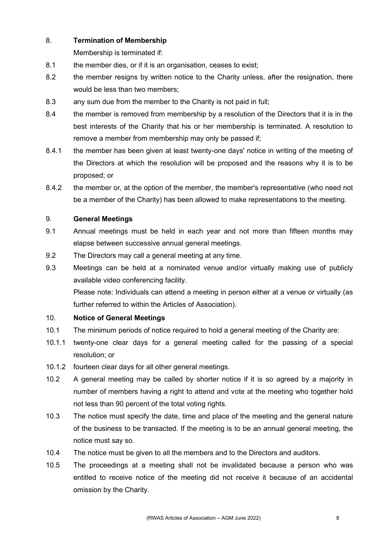# 8. **Termination of Membership**

Membership is terminated if:

- 8.1 the member dies, or if it is an organisation, ceases to exist;
- 8.2 the member resigns by written notice to the Charity unless, after the resignation, there would be less than two members;
- 8.3 any sum due from the member to the Charity is not paid in full;
- 8.4 the member is removed from membership by a resolution of the Directors that it is in the best interests of the Charity that his or her membership is terminated. A resolution to remove a member from membership may only be passed if;
- 8.4.1 the member has been given at least twenty-one days' notice in writing of the meeting of the Directors at which the resolution will be proposed and the reasons why it is to be proposed; or
- 8.4.2 the member or, at the option of the member, the member's representative (who need not be a member of the Charity) has been allowed to make representations to the meeting.

# 9. **General Meetings**

- 9.1 Annual meetings must be held in each year and not more than fifteen months may elapse between successive annual general meetings.
- 9.2 The Directors may call a general meeting at any time.
- 9.3 Meetings can be held at a nominated venue and/or virtually making use of publicly available video conferencing facility.

Please note: Individuals can attend a meeting in person either at a venue or virtually (as further referred to within the Articles of Association).

## 10. **Notice of General Meetings**

- 10.1 The minimum periods of notice required to hold a general meeting of the Charity are:
- 10.1.1 twenty-one clear days for a general meeting called for the passing of a special resolution; or
- 10.1.2 fourteen clear days for all other general meetings.
- 10.2 A general meeting may be called by shorter notice if it is so agreed by a majority in number of members having a right to attend and vote at the meeting who together hold not less than 90 percent of the total voting rights.
- 10.3 The notice must specify the date, time and place of the meeting and the general nature of the business to be transacted. If the meeting is to be an annual general meeting, the notice must say so.
- 10.4 The notice must be given to all the members and to the Directors and auditors.
- 10.5 The proceedings at a meeting shall not be invalidated because a person who was entitled to receive notice of the meeting did not receive it because of an accidental omission by the Charity.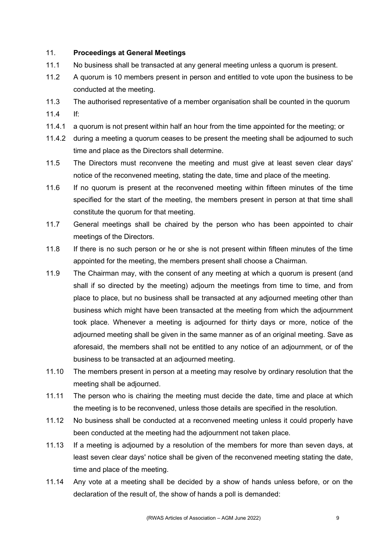# 11. **Proceedings at General Meetings**

- 11.1 No business shall be transacted at any general meeting unless a quorum is present.
- 11.2 A quorum is 10 members present in person and entitled to vote upon the business to be conducted at the meeting.
- 11.3 The authorised representative of a member organisation shall be counted in the quorum
- 11.4 If:
- 11.4.1 a quorum is not present within half an hour from the time appointed for the meeting; or
- 11.4.2 during a meeting a quorum ceases to be present the meeting shall be adjourned to such time and place as the Directors shall determine.
- 11.5 The Directors must reconvene the meeting and must give at least seven clear days' notice of the reconvened meeting, stating the date, time and place of the meeting.
- 11.6 If no quorum is present at the reconvened meeting within fifteen minutes of the time specified for the start of the meeting, the members present in person at that time shall constitute the quorum for that meeting.
- 11.7 General meetings shall be chaired by the person who has been appointed to chair meetings of the Directors.
- 11.8 If there is no such person or he or she is not present within fifteen minutes of the time appointed for the meeting, the members present shall choose a Chairman.
- 11.9 The Chairman may, with the consent of any meeting at which a quorum is present (and shall if so directed by the meeting) adjourn the meetings from time to time, and from place to place, but no business shall be transacted at any adjourned meeting other than business which might have been transacted at the meeting from which the adjournment took place. Whenever a meeting is adjourned for thirty days or more, notice of the adjourned meeting shall be given in the same manner as of an original meeting. Save as aforesaid, the members shall not be entitled to any notice of an adjournment, or of the business to be transacted at an adjourned meeting.
- 11.10 The members present in person at a meeting may resolve by ordinary resolution that the meeting shall be adjourned.
- 11.11 The person who is chairing the meeting must decide the date, time and place at which the meeting is to be reconvened, unless those details are specified in the resolution.
- 11.12 No business shall be conducted at a reconvened meeting unless it could properly have been conducted at the meeting had the adjournment not taken place.
- 11.13 If a meeting is adjourned by a resolution of the members for more than seven days, at least seven clear days' notice shall be given of the reconvened meeting stating the date, time and place of the meeting.
- 11.14 Any vote at a meeting shall be decided by a show of hands unless before, or on the declaration of the result of, the show of hands a poll is demanded: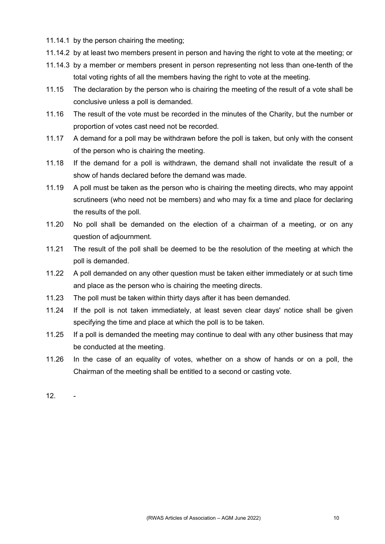- 11.14.1 by the person chairing the meeting;
- 11.14.2 by at least two members present in person and having the right to vote at the meeting; or
- 11.14.3 by a member or members present in person representing not less than one-tenth of the total voting rights of all the members having the right to vote at the meeting.
- 11.15 The declaration by the person who is chairing the meeting of the result of a vote shall be conclusive unless a poll is demanded.
- 11.16 The result of the vote must be recorded in the minutes of the Charity, but the number or proportion of votes cast need not be recorded.
- 11.17 A demand for a poll may be withdrawn before the poll is taken, but only with the consent of the person who is chairing the meeting.
- 11.18 If the demand for a poll is withdrawn, the demand shall not invalidate the result of a show of hands declared before the demand was made.
- 11.19 A poll must be taken as the person who is chairing the meeting directs, who may appoint scrutineers (who need not be members) and who may fix a time and place for declaring the results of the poll.
- 11.20 No poll shall be demanded on the election of a chairman of a meeting, or on any question of adjournment.
- 11.21 The result of the poll shall be deemed to be the resolution of the meeting at which the poll is demanded.
- 11.22 A poll demanded on any other question must be taken either immediately or at such time and place as the person who is chairing the meeting directs.
- 11.23 The poll must be taken within thirty days after it has been demanded.
- 11.24 If the poll is not taken immediately, at least seven clear days' notice shall be given specifying the time and place at which the poll is to be taken.
- 11.25 If a poll is demanded the meeting may continue to deal with any other business that may be conducted at the meeting.
- 11.26 In the case of an equality of votes, whether on a show of hands or on a poll, the Chairman of the meeting shall be entitled to a second or casting vote.

12. -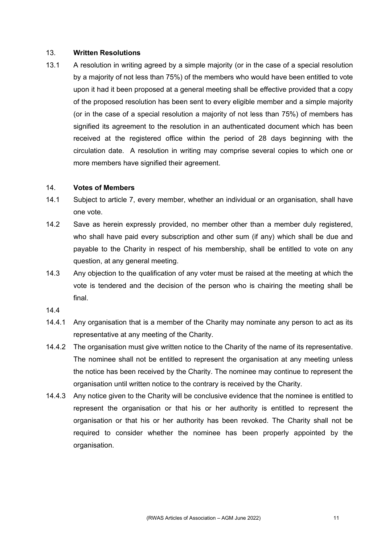### 13. **Written Resolutions**

13.1 A resolution in writing agreed by a simple majority (or in the case of a special resolution by a majority of not less than 75%) of the members who would have been entitled to vote upon it had it been proposed at a general meeting shall be effective provided that a copy of the proposed resolution has been sent to every eligible member and a simple majority (or in the case of a special resolution a majority of not less than 75%) of members has signified its agreement to the resolution in an authenticated document which has been received at the registered office within the period of 28 days beginning with the circulation date. A resolution in writing may comprise several copies to which one or more members have signified their agreement.

#### 14. **Votes of Members**

- 14.1 Subject to article 7, every member, whether an individual or an organisation, shall have one vote.
- 14.2 Save as herein expressly provided, no member other than a member duly registered, who shall have paid every subscription and other sum (if any) which shall be due and payable to the Charity in respect of his membership, shall be entitled to vote on any question, at any general meeting.
- 14.3 Any objection to the qualification of any voter must be raised at the meeting at which the vote is tendered and the decision of the person who is chairing the meeting shall be final.
- 14.4
- 14.4.1 Any organisation that is a member of the Charity may nominate any person to act as its representative at any meeting of the Charity.
- 14.4.2 The organisation must give written notice to the Charity of the name of its representative. The nominee shall not be entitled to represent the organisation at any meeting unless the notice has been received by the Charity. The nominee may continue to represent the organisation until written notice to the contrary is received by the Charity.
- 14.4.3 Any notice given to the Charity will be conclusive evidence that the nominee is entitled to represent the organisation or that his or her authority is entitled to represent the organisation or that his or her authority has been revoked. The Charity shall not be required to consider whether the nominee has been properly appointed by the organisation.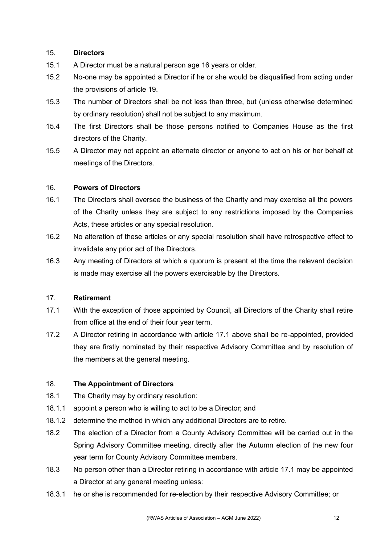# 15. **Directors**

- 15.1 A Director must be a natural person age 16 years or older.
- 15.2 No-one may be appointed a Director if he or she would be disqualified from acting under the provisions of article 19.
- 15.3 The number of Directors shall be not less than three, but (unless otherwise determined by ordinary resolution) shall not be subject to any maximum.
- 15.4 The first Directors shall be those persons notified to Companies House as the first directors of the Charity.
- 15.5 A Director may not appoint an alternate director or anyone to act on his or her behalf at meetings of the Directors.

# 16. **Powers of Directors**

- 16.1 The Directors shall oversee the business of the Charity and may exercise all the powers of the Charity unless they are subject to any restrictions imposed by the Companies Acts, these articles or any special resolution.
- 16.2 No alteration of these articles or any special resolution shall have retrospective effect to invalidate any prior act of the Directors.
- 16.3 Any meeting of Directors at which a quorum is present at the time the relevant decision is made may exercise all the powers exercisable by the Directors.

## 17. **Retirement**

- 17.1 With the exception of those appointed by Council, all Directors of the Charity shall retire from office at the end of their four year term.
- 17.2 A Director retiring in accordance with article 17.1 above shall be re-appointed, provided they are firstly nominated by their respective Advisory Committee and by resolution of the members at the general meeting.

# 18. **The Appointment of Directors**

- 18.1 The Charity may by ordinary resolution:
- 18.1.1 appoint a person who is willing to act to be a Director; and
- 18.1.2 determine the method in which any additional Directors are to retire.
- 18.2 The election of a Director from a County Advisory Committee will be carried out in the Spring Advisory Committee meeting, directly after the Autumn election of the new four year term for County Advisory Committee members.
- 18.3 No person other than a Director retiring in accordance with article 17.1 may be appointed a Director at any general meeting unless:
- 18.3.1 he or she is recommended for re-election by their respective Advisory Committee; or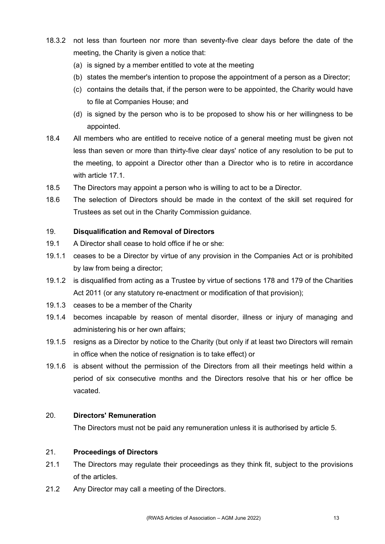- 18.3.2 not less than fourteen nor more than seventy-five clear days before the date of the meeting, the Charity is given a notice that:
	- (a) is signed by a member entitled to vote at the meeting
	- (b) states the member's intention to propose the appointment of a person as a Director;
	- (c) contains the details that, if the person were to be appointed, the Charity would have to file at Companies House; and
	- (d) is signed by the person who is to be proposed to show his or her willingness to be appointed.
- 18.4 All members who are entitled to receive notice of a general meeting must be given not less than seven or more than thirty-five clear days' notice of any resolution to be put to the meeting, to appoint a Director other than a Director who is to retire in accordance with article 17.1.
- 18.5 The Directors may appoint a person who is willing to act to be a Director.
- 18.6 The selection of Directors should be made in the context of the skill set required for Trustees as set out in the Charity Commission guidance.

## 19. **Disqualification and Removal of Directors**

- 19.1 A Director shall cease to hold office if he or she:
- 19.1.1 ceases to be a Director by virtue of any provision in the Companies Act or is prohibited by law from being a director;
- 19.1.2 is disqualified from acting as a Trustee by virtue of sections 178 and 179 of the Charities Act 2011 (or any statutory re-enactment or modification of that provision);
- 19.1.3 ceases to be a member of the Charity
- 19.1.4 becomes incapable by reason of mental disorder, illness or injury of managing and administering his or her own affairs;
- 19.1.5 resigns as a Director by notice to the Charity (but only if at least two Directors will remain in office when the notice of resignation is to take effect) or
- 19.1.6 is absent without the permission of the Directors from all their meetings held within a period of six consecutive months and the Directors resolve that his or her office be vacated.

## 20. **Directors' Remuneration**

The Directors must not be paid any remuneration unless it is authorised by article 5.

## 21. **Proceedings of Directors**

- 21.1 The Directors may regulate their proceedings as they think fit, subject to the provisions of the articles.
- 21.2 Any Director may call a meeting of the Directors.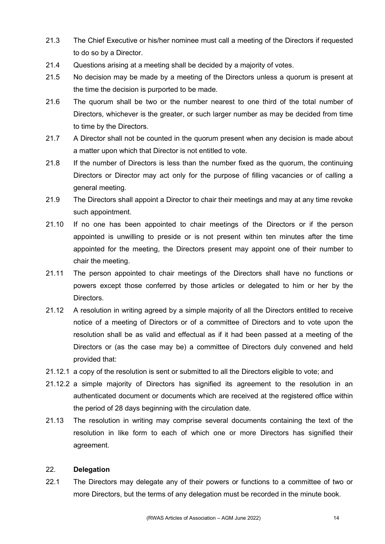- 21.3 The Chief Executive or his/her nominee must call a meeting of the Directors if requested to do so by a Director.
- 21.4 Questions arising at a meeting shall be decided by a majority of votes.
- 21.5 No decision may be made by a meeting of the Directors unless a quorum is present at the time the decision is purported to be made.
- 21.6 The quorum shall be two or the number nearest to one third of the total number of Directors, whichever is the greater, or such larger number as may be decided from time to time by the Directors.
- 21.7 A Director shall not be counted in the quorum present when any decision is made about a matter upon which that Director is not entitled to vote.
- 21.8 If the number of Directors is less than the number fixed as the quorum, the continuing Directors or Director may act only for the purpose of filling vacancies or of calling a general meeting.
- 21.9 The Directors shall appoint a Director to chair their meetings and may at any time revoke such appointment.
- 21.10 If no one has been appointed to chair meetings of the Directors or if the person appointed is unwilling to preside or is not present within ten minutes after the time appointed for the meeting, the Directors present may appoint one of their number to chair the meeting.
- 21.11 The person appointed to chair meetings of the Directors shall have no functions or powers except those conferred by those articles or delegated to him or her by the Directors.
- 21.12 A resolution in writing agreed by a simple majority of all the Directors entitled to receive notice of a meeting of Directors or of a committee of Directors and to vote upon the resolution shall be as valid and effectual as if it had been passed at a meeting of the Directors or (as the case may be) a committee of Directors duly convened and held provided that:
- 21.12.1 a copy of the resolution is sent or submitted to all the Directors eligible to vote; and
- 21.12.2 a simple majority of Directors has signified its agreement to the resolution in an authenticated document or documents which are received at the registered office within the period of 28 days beginning with the circulation date.
- 21.13 The resolution in writing may comprise several documents containing the text of the resolution in like form to each of which one or more Directors has signified their agreement.

## 22. **Delegation**

22.1 The Directors may delegate any of their powers or functions to a committee of two or more Directors, but the terms of any delegation must be recorded in the minute book.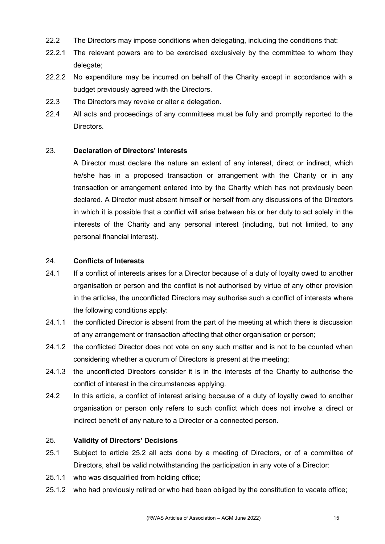- 22.2 The Directors may impose conditions when delegating, including the conditions that:
- 22.2.1 The relevant powers are to be exercised exclusively by the committee to whom they delegate;
- 22.2.2 No expenditure may be incurred on behalf of the Charity except in accordance with a budget previously agreed with the Directors.
- 22.3 The Directors may revoke or alter a delegation.
- 22.4 All acts and proceedings of any committees must be fully and promptly reported to the Directors.

# 23. **Declaration of Directors' Interests**

A Director must declare the nature an extent of any interest, direct or indirect, which he/she has in a proposed transaction or arrangement with the Charity or in any transaction or arrangement entered into by the Charity which has not previously been declared. A Director must absent himself or herself from any discussions of the Directors in which it is possible that a conflict will arise between his or her duty to act solely in the interests of the Charity and any personal interest (including, but not limited, to any personal financial interest).

## 24. **Conflicts of Interests**

- 24.1 If a conflict of interests arises for a Director because of a duty of loyalty owed to another organisation or person and the conflict is not authorised by virtue of any other provision in the articles, the unconflicted Directors may authorise such a conflict of interests where the following conditions apply:
- 24.1.1 the conflicted Director is absent from the part of the meeting at which there is discussion of any arrangement or transaction affecting that other organisation or person;
- 24.1.2 the conflicted Director does not vote on any such matter and is not to be counted when considering whether a quorum of Directors is present at the meeting;
- 24.1.3 the unconflicted Directors consider it is in the interests of the Charity to authorise the conflict of interest in the circumstances applying.
- 24.2 In this article, a conflict of interest arising because of a duty of loyalty owed to another organisation or person only refers to such conflict which does not involve a direct or indirect benefit of any nature to a Director or a connected person.

## 25. **Validity of Directors' Decisions**

- 25.1 Subject to article 25.2 all acts done by a meeting of Directors, or of a committee of Directors, shall be valid notwithstanding the participation in any vote of a Director:
- 25.1.1 who was disqualified from holding office;
- 25.1.2 who had previously retired or who had been obliged by the constitution to vacate office;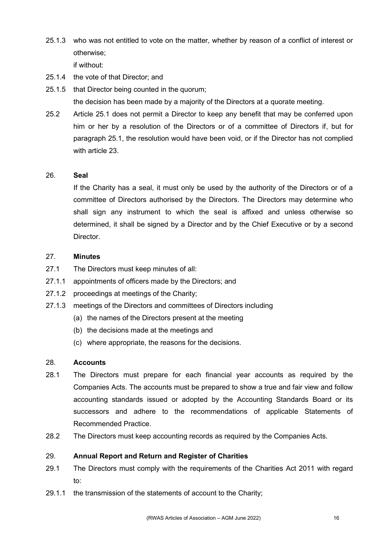25.1.3 who was not entitled to vote on the matter, whether by reason of a conflict of interest or otherwise;

if without:

- 25.1.4 the vote of that Director; and
- 25.1.5 that Director being counted in the quorum; the decision has been made by a majority of the Directors at a quorate meeting.
- 25.2 Article 25.1 does not permit a Director to keep any benefit that may be conferred upon him or her by a resolution of the Directors or of a committee of Directors if, but for paragraph 25.1, the resolution would have been void, or if the Director has not complied with article 23.

# 26. **Seal**

If the Charity has a seal, it must only be used by the authority of the Directors or of a committee of Directors authorised by the Directors. The Directors may determine who shall sign any instrument to which the seal is affixed and unless otherwise so determined, it shall be signed by a Director and by the Chief Executive or by a second Director.

# 27. **Minutes**

- 27.1 The Directors must keep minutes of all:
- 27.1.1 appointments of officers made by the Directors; and
- 27.1.2 proceedings at meetings of the Charity;
- 27.1.3 meetings of the Directors and committees of Directors including
	- (a) the names of the Directors present at the meeting
	- (b) the decisions made at the meetings and
	- (c) where appropriate, the reasons for the decisions.

## 28. **Accounts**

- 28.1 The Directors must prepare for each financial year accounts as required by the Companies Acts. The accounts must be prepared to show a true and fair view and follow accounting standards issued or adopted by the Accounting Standards Board or its successors and adhere to the recommendations of applicable Statements of Recommended Practice.
- 28.2 The Directors must keep accounting records as required by the Companies Acts.

## 29. **Annual Report and Return and Register of Charities**

- 29.1 The Directors must comply with the requirements of the Charities Act 2011 with regard to:
- 29.1.1 the transmission of the statements of account to the Charity;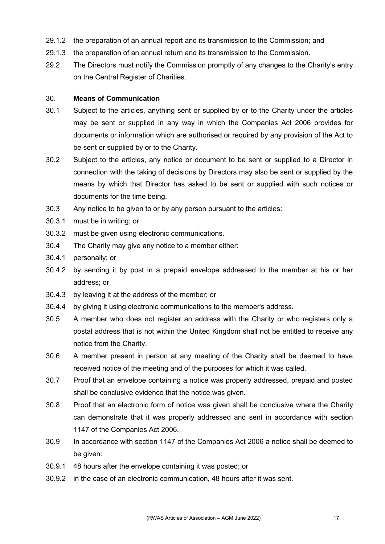- 29.1.2 the preparation of an annual report and its transmission to the Commission; and
- 29.1.3 the preparation of an annual return and its transmission to the Commission.
- 29.2 The Directors must notify the Commission promptly of any changes to the Charity's entry on the Central Register of Charities.

#### 30. **Means of Communication**

- 30.1 Subject to the articles, anything sent or supplied by or to the Charity under the articles may be sent or supplied in any way in which the Companies Act 2006 provides for documents or information which are authorised or required by any provision of the Act to be sent or supplied by or to the Charity.
- 30.2 Subject to the articles, any notice or document to be sent or supplied to a Director in connection with the taking of decisions by Directors may also be sent or supplied by the means by which that Director has asked to be sent or supplied with such notices or documents for the time being.
- 30.3 Any notice to be given to or by any person pursuant to the articles:
- 30.3.1 must be in writing; or
- 30.3.2 must be given using electronic communications.
- 30.4 The Charity may give any notice to a member either:
- 30.4.1 personally; or
- 30.4.2 by sending it by post in a prepaid envelope addressed to the member at his or her address; or
- 30.4.3 by leaving it at the address of the member; or
- 30.4.4 by giving it using electronic communications to the member's address.
- 30.5 A member who does not register an address with the Charity or who registers only a postal address that is not within the United Kingdom shall not be entitled to receive any notice from the Charity.
- 30.6 A member present in person at any meeting of the Charity shall be deemed to have received notice of the meeting and of the purposes for which it was called.
- 30.7 Proof that an envelope containing a notice was properly addressed, prepaid and posted shall be conclusive evidence that the notice was given.
- 30.8 Proof that an electronic form of notice was given shall be conclusive where the Charity can demonstrate that it was properly addressed and sent in accordance with section 1147 of the Companies Act 2006.
- 30.9 In accordance with section 1147 of the Companies Act 2006 a notice shall be deemed to be given:
- 30.9.1 48 hours after the envelope containing it was posted; or
- 30.9.2 in the case of an electronic communication, 48 hours after it was sent.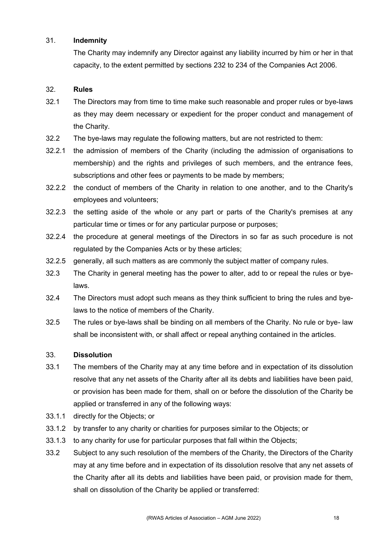## 31. **Indemnity**

The Charity may indemnify any Director against any liability incurred by him or her in that capacity, to the extent permitted by sections 232 to 234 of the Companies Act 2006.

# 32. **Rules**

- 32.1 The Directors may from time to time make such reasonable and proper rules or bye-laws as they may deem necessary or expedient for the proper conduct and management of the Charity.
- 32.2 The bye-laws may regulate the following matters, but are not restricted to them:
- 32.2.1 the admission of members of the Charity (including the admission of organisations to membership) and the rights and privileges of such members, and the entrance fees, subscriptions and other fees or payments to be made by members;
- 32.2.2 the conduct of members of the Charity in relation to one another, and to the Charity's employees and volunteers;
- 32.2.3 the setting aside of the whole or any part or parts of the Charity's premises at any particular time or times or for any particular purpose or purposes;
- 32.2.4 the procedure at general meetings of the Directors in so far as such procedure is not regulated by the Companies Acts or by these articles;
- 32.2.5 generally, all such matters as are commonly the subject matter of company rules.
- 32.3 The Charity in general meeting has the power to alter, add to or repeal the rules or byelaws.
- 32.4 The Directors must adopt such means as they think sufficient to bring the rules and byelaws to the notice of members of the Charity.
- 32.5 The rules or bye-laws shall be binding on all members of the Charity. No rule or bye- law shall be inconsistent with, or shall affect or repeal anything contained in the articles.

# 33. **Dissolution**

- 33.1 The members of the Charity may at any time before and in expectation of its dissolution resolve that any net assets of the Charity after all its debts and liabilities have been paid, or provision has been made for them, shall on or before the dissolution of the Charity be applied or transferred in any of the following ways:
- 33.1.1 directly for the Objects; or
- 33.1.2 by transfer to any charity or charities for purposes similar to the Objects; or
- 33.1.3 to any charity for use for particular purposes that fall within the Objects;
- 33.2 Subject to any such resolution of the members of the Charity, the Directors of the Charity may at any time before and in expectation of its dissolution resolve that any net assets of the Charity after all its debts and liabilities have been paid, or provision made for them, shall on dissolution of the Charity be applied or transferred: